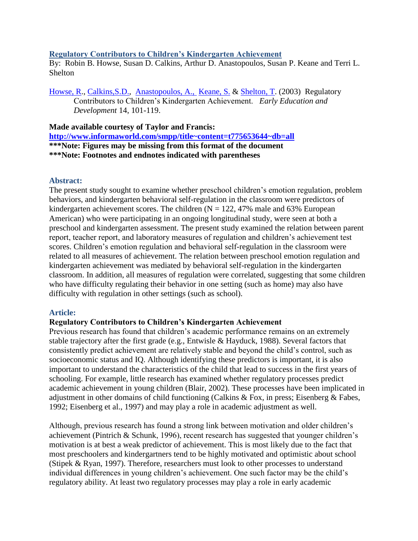## **Regulatory Contributors to Children's Kindergarten Achievement**

By: Robin B. Howse, Susan D. Calkins, Arthur D. Anastopoulos, Susan P. Keane and Terri L. Shelton

[Howse, R.](http://libres.uncg.edu/ir/clist.aspx?id=1354), [Calkins,S.D.,](http://libres.uncg.edu/ir/clist.aspx?id=1258) [Anastopoulos, A.,](http://libres.uncg.edu/ir/clist.aspx?id=501) [Keane, S.](http://libres.uncg.edu/ir/clist.aspx?id=557) & [Shelton, T.](http://libres.uncg.edu/ir/clist.aspx?id=131) (2003) Regulatory Contributors to Children's Kindergarten Achievement. *Early Education and Development* 14, 101-119.

**Made available courtesy of Taylor and Francis: <http://www.informaworld.com/smpp/title~content=t775653644~db=all> \*\*\*Note: Figures may be missing from this format of the document \*\*\*Note: Footnotes and endnotes indicated with parentheses**

## **Abstract:**

The present study sought to examine whether preschool children's emotion regulation, problem behaviors, and kindergarten behavioral self-regulation in the classroom were predictors of kindergarten achievement scores. The children  $(N = 122, 47\%$  male and 63% European American) who were participating in an ongoing longitudinal study, were seen at both a preschool and kindergarten assessment. The present study examined the relation between parent report, teacher report, and laboratory measures of regulation and children's achievement test scores. Children's emotion regulation and behavioral self-regulation in the classroom were related to all measures of achievement. The relation between preschool emotion regulation and kindergarten achievement was mediated by behavioral self-regulation in the kindergarten classroom. In addition, all measures of regulation were correlated, suggesting that some children who have difficulty regulating their behavior in one setting (such as home) may also have difficulty with regulation in other settings (such as school).

# **Article:**

# **Regulatory Contributors to Children's Kindergarten Achievement**

Previous research has found that children's academic performance remains on an extremely stable trajectory after the first grade (e.g., Entwisle & Hayduck, 1988). Several factors that consistently predict achievement are relatively stable and beyond the child's control, such as socioeconomic status and IQ. Although identifying these predictors is important, it is also important to understand the characteristics of the child that lead to success in the first years of schooling. For example, little research has examined whether regulatory processes predict academic achievement in young children (Blair, 2002). These processes have been implicated in adjustment in other domains of child functioning (Calkins & Fox, in press; Eisenberg & Fabes, 1992; Eisenberg et al., 1997) and may play a role in academic adjustment as well.

Although, previous research has found a strong link between motivation and older children's achievement (Pintrich & Schunk, 1996), recent research has suggested that younger children's motivation is at best a weak predictor of achievement. This is most likely due to the fact that most preschoolers and kindergartners tend to be highly motivated and optimistic about school (Stipek & Ryan, 1997). Therefore, researchers must look to other processes to understand individual differences in young children's achievement. One such factor may be the child's regulatory ability. At least two regulatory processes may play a role in early academic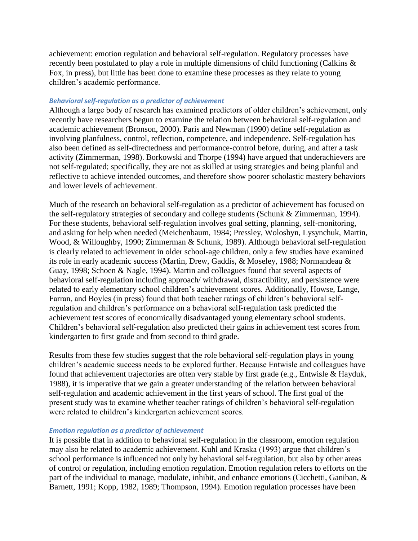achievement: emotion regulation and behavioral self-regulation. Regulatory processes have recently been postulated to play a role in multiple dimensions of child functioning (Calkins & Fox, in press), but little has been done to examine these processes as they relate to young children's academic performance.

#### *Behavioral self-regulation as a predictor of achievement*

Although a large body of research has examined predictors of older children's achievement, only recently have researchers begun to examine the relation between behavioral self-regulation and academic achievement (Bronson, 2000). Paris and Newman (1990) define self-regulation as involving planfulness, control, reflection, competence, and independence. Self-regulation has also been defined as self-directedness and performance-control before, during, and after a task activity (Zimmerman, 1998). Borkowski and Thorpe (1994) have argued that underachievers are not self-regulated; specifically, they are not as skilled at using strategies and being planful and reflective to achieve intended outcomes, and therefore show poorer scholastic mastery behaviors and lower levels of achievement.

Much of the research on behavioral self-regulation as a predictor of achievement has focused on the self-regulatory strategies of secondary and college students (Schunk & Zimmerman, 1994). For these students, behavioral self-regulation involves goal setting, planning, self-monitoring, and asking for help when needed (Meichenbaum, 1984; Pressley, Woloshyn, Lysynchuk, Martin, Wood, & Willoughby, 1990; Zimmerman & Schunk, 1989). Although behavioral self-regulation is clearly related to achievement in older school-age children, only a few studies have examined its role in early academic success (Martin, Drew, Gaddis, & Moseley, 1988; Normandeau & Guay, 1998; Schoen & Nagle, 1994). Martin and colleagues found that several aspects of behavioral self-regulation including approach/ withdrawal, distractibility, and persistence were related to early elementary school children's achievement scores. Additionally, Howse, Lange, Farran, and Boyles (in press) found that both teacher ratings of children's behavioral selfregulation and children's performance on a behavioral self-regulation task predicted the achievement test scores of economically disadvantaged young elementary school students. Children's behavioral self-regulation also predicted their gains in achievement test scores from kindergarten to first grade and from second to third grade.

Results from these few studies suggest that the role behavioral self-regulation plays in young children's academic success needs to be explored further. Because Entwisle and colleagues have found that achievement trajectories are often very stable by first grade (e.g., Entwisle & Hayduk, 1988), it is imperative that we gain a greater understanding of the relation between behavioral self-regulation and academic achievement in the first years of school. The first goal of the present study was to examine whether teacher ratings of children's behavioral self-regulation were related to children's kindergarten achievement scores.

#### *Emotion regulation as a predictor of achievement*

It is possible that in addition to behavioral self-regulation in the classroom, emotion regulation may also be related to academic achievement. Kuhl and Kraska (1993) argue that children's school performance is influenced not only by behavioral self-regulation, but also by other areas of control or regulation, including emotion regulation. Emotion regulation refers to efforts on the part of the individual to manage, modulate, inhibit, and enhance emotions (Cicchetti, Ganiban, & Barnett, 1991; Kopp, 1982, 1989; Thompson, 1994). Emotion regulation processes have been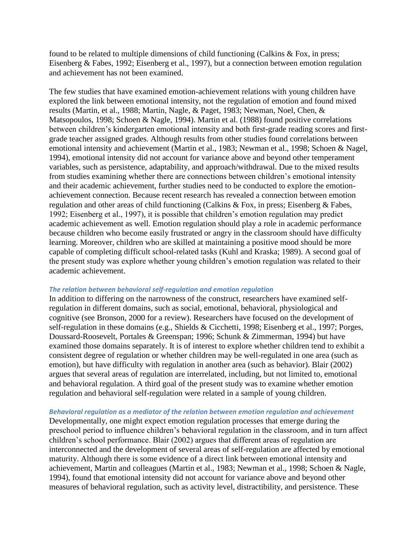found to be related to multiple dimensions of child functioning (Calkins & Fox, in press; Eisenberg & Fabes, 1992; Eisenberg et al., 1997), but a connection between emotion regulation and achievement has not been examined.

The few studies that have examined emotion-achievement relations with young children have explored the link between emotional intensity, not the regulation of emotion and found mixed results (Martin, et al., 1988; Martin, Nagle, & Paget, 1983; Newman, Noel, Chen, & Matsopoulos, 1998; Schoen & Nagle, 1994). Martin et al. (1988) found positive correlations between children's kindergarten emotional intensity and both first-grade reading scores and firstgrade teacher assigned grades. Although results from other studies found correlations between emotional intensity and achievement (Martin et al., 1983; Newman et al., 1998; Schoen & Nagel, 1994), emotional intensity did not account for variance above and beyond other temperament variables, such as persistence, adaptability, and approach/withdrawal. Due to the mixed results from studies examining whether there are connections between children's emotional intensity and their academic achievement, further studies need to be conducted to explore the emotionachievement connection. Because recent research has revealed a connection between emotion regulation and other areas of child functioning (Calkins & Fox, in press; Eisenberg & Fabes, 1992; Eisenberg et al., 1997), it is possible that children's emotion regulation may predict academic achievement as well. Emotion regulation should play a role in academic performance because children who become easily frustrated or angry in the classroom should have difficulty learning. Moreover, children who are skilled at maintaining a positive mood should be more capable of completing difficult school-related tasks (Kuhl and Kraska; 1989). A second goal of the present study was explore whether young children's emotion regulation was related to their academic achievement.

#### *The relation between behavioral self-regulation and emotion regulation*

In addition to differing on the narrowness of the construct, researchers have examined selfregulation in different domains, such as social, emotional, behavioral, physiological and cognitive (see Bronson, 2000 for a review). Researchers have focused on the development of self-regulation in these domains (e.g., Shields & Cicchetti, 1998; Eisenberg et al., 1997; Porges, Doussard-Roosevelt, Portales & Greenspan; 1996; Schunk & Zimmerman, 1994) but have examined those domains separately. It is of interest to explore whether children tend to exhibit a consistent degree of regulation or whether children may be well-regulated in one area (such as emotion), but have difficulty with regulation in another area (such as behavior). Blair (2002) argues that several areas of regulation are interrelated, including, but not limited to, emotional and behavioral regulation. A third goal of the present study was to examine whether emotion regulation and behavioral self-regulation were related in a sample of young children.

## *Behavioral regulation as a mediator of the relation between emotion regulation and achievement*

Developmentally, one might expect emotion regulation processes that emerge during the preschool period to influence children's behavioral regulation in the classroom, and in turn affect children's school performance. Blair (2002) argues that different areas of regulation are interconnected and the development of several areas of self-regulation are affected by emotional maturity. Although there is some evidence of a direct link between emotional intensity and achievement, Martin and colleagues (Martin et al., 1983; Newman et al., 1998; Schoen & Nagle, 1994), found that emotional intensity did not account for variance above and beyond other measures of behavioral regulation, such as activity level, distractibility, and persistence. These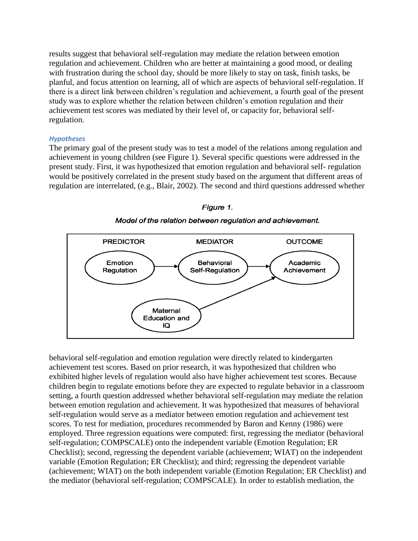results suggest that behavioral self-regulation may mediate the relation between emotion regulation and achievement. Children who are better at maintaining a good mood, or dealing with frustration during the school day, should be more likely to stay on task, finish tasks, be planful, and focus attention on learning, all of which are aspects of behavioral self-regulation. If there is a direct link between children's regulation and achievement, a fourth goal of the present study was to explore whether the relation between children's emotion regulation and their achievement test scores was mediated by their level of, or capacity for, behavioral selfregulation.

# *Hypotheses*

The primary goal of the present study was to test a model of the relations among regulation and achievement in young children (see Figure 1). Several specific questions were addressed in the present study. First, it was hypothesized that emotion regulation and behavioral self- regulation would be positively correlated in the present study based on the argument that different areas of regulation are interrelated, (e.g., Blair, 2002). The second and third questions addressed whether

#### Figure 1.



Model of the relation between regulation and achievement.

behavioral self-regulation and emotion regulation were directly related to kindergarten achievement test scores. Based on prior research, it was hypothesized that children who exhibited higher levels of regulation would also have higher achievement test scores. Because children begin to regulate emotions before they are expected to regulate behavior in a classroom setting, a fourth question addressed whether behavioral self-regulation may mediate the relation between emotion regulation and achievement. It was hypothesized that measures of behavioral self-regulation would serve as a mediator between emotion regulation and achievement test scores. To test for mediation, procedures recommended by Baron and Kenny (1986) were employed. Three regression equations were computed: first, regressing the mediator (behavioral self-regulation; COMPSCALE) onto the independent variable (Emotion Regulation; ER Checklist); second, regressing the dependent variable (achievement; WIAT) on the independent variable (Emotion Regulation; ER Checklist); and third; regressing the dependent variable (achievement; WIAT) on the both independent variable (Emotion Regulation; ER Checklist) and the mediator (behavioral self-regulation; COMPSCALE). In order to establish mediation, the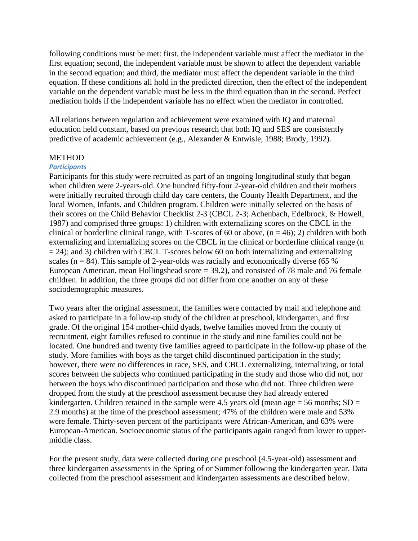following conditions must be met: first, the independent variable must affect the mediator in the first equation; second, the independent variable must be shown to affect the dependent variable in the second equation; and third, the mediator must affect the dependent variable in the third equation. If these conditions all hold in the predicted direction, then the effect of the independent variable on the dependent variable must be less in the third equation than in the second. Perfect mediation holds if the independent variable has no effect when the mediator in controlled.

All relations between regulation and achievement were examined with IQ and maternal education held constant, based on previous research that both IQ and SES are consistently predictive of academic achievement (e.g., Alexander & Entwisle, 1988; Brody, 1992).

### **METHOD**

#### *Participants*

Participants for this study were recruited as part of an ongoing longitudinal study that began when children were 2-years-old. One hundred fifty-four 2-year-old children and their mothers were initially recruited through child day care centers, the County Health Department, and the local Women, Infants, and Children program. Children were initially selected on the basis of their scores on the Child Behavior Checklist 2-3 (CBCL 2-3; Achenbach, Edelbrock, & Howell, 1987) and comprised three groups: 1) children with externalizing scores on the CBCL in the clinical or borderline clinical range, with T-scores of 60 or above,  $(n = 46)$ ; 2) children with both externalizing and internalizing scores on the CBCL in the clinical or borderline clinical range (n  $= 24$ ); and 3) children with CBCL T-scores below 60 on both internalizing and externalizing scales ( $n = 84$ ). This sample of 2-year-olds was racially and economically diverse (65 %) European American, mean Hollingshead score = 39.2), and consisted of 78 male and 76 female children. In addition, the three groups did not differ from one another on any of these sociodemographic measures.

Two years after the original assessment, the families were contacted by mail and telephone and asked to participate in a follow-up study of the children at preschool, kindergarten, and first grade. Of the original 154 mother-child dyads, twelve families moved from the county of recruitment, eight families refused to continue in the study and nine families could not be located. One hundred and twenty five families agreed to participate in the follow-up phase of the study. More families with boys as the target child discontinued participation in the study; however, there were no differences in race, SES, and CBCL externalizing, internalizing, or total scores between the subjects who continued participating in the study and those who did not, nor between the boys who discontinued participation and those who did not. Three children were dropped from the study at the preschool assessment because they had already entered kindergarten. Children retained in the sample were 4.5 years old (mean age  $= 56$  months; SD  $=$ 2.9 months) at the time of the preschool assessment; 47% of the children were male and 53% were female. Thirty-seven percent of the participants were African-American, and 63% were European-American. Socioeconomic status of the participants again ranged from lower to uppermiddle class.

For the present study, data were collected during one preschool (4.5-year-old) assessment and three kindergarten assessments in the Spring of or Summer following the kindergarten year. Data collected from the preschool assessment and kindergarten assessments are described below.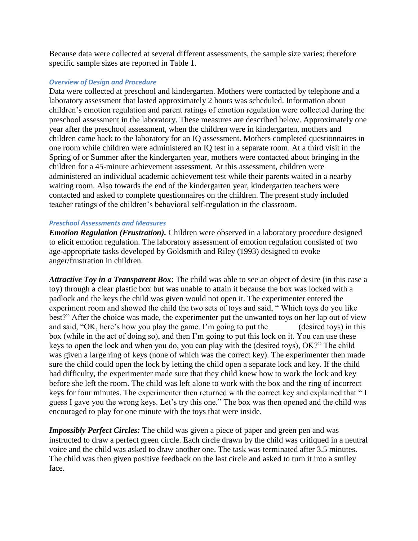Because data were collected at several different assessments, the sample size varies; therefore specific sample sizes are reported in Table 1.

#### *Overview of Design and Procedure*

Data were collected at preschool and kindergarten. Mothers were contacted by telephone and a laboratory assessment that lasted approximately 2 hours was scheduled. Information about children's emotion regulation and parent ratings of emotion regulation were collected during the preschool assessment in the laboratory. These measures are described below. Approximately one year after the preschool assessment, when the children were in kindergarten, mothers and children came back to the laboratory for an IQ assessment. Mothers completed questionnaires in one room while children were administered an IQ test in a separate room. At a third visit in the Spring of or Summer after the kindergarten year, mothers were contacted about bringing in the children for a 45-minute achievement assessment. At this assessment, children were administered an individual academic achievement test while their parents waited in a nearby waiting room. Also towards the end of the kindergarten year, kindergarten teachers were contacted and asked to complete questionnaires on the children. The present study included teacher ratings of the children's behavioral self-regulation in the classroom.

# *Preschool Assessments and Measures*

*Emotion Regulation (Frustration).* Children were observed in a laboratory procedure designed to elicit emotion regulation. The laboratory assessment of emotion regulation consisted of two age-appropriate tasks developed by Goldsmith and Riley (1993) designed to evoke anger/frustration in children.

*Attractive Toy in a Transparent Box*: The child was able to see an object of desire (in this case a toy) through a clear plastic box but was unable to attain it because the box was locked with a padlock and the keys the child was given would not open it. The experimenter entered the experiment room and showed the child the two sets of toys and said, "Which toys do you like best?" After the choice was made, the experimenter put the unwanted toys on her lap out of view and said, "OK, here's how you play the game. I'm going to put the (desired toys) in this box (while in the act of doing so), and then I'm going to put this lock on it. You can use these keys to open the lock and when you do, you can play with the (desired toys), OK?" The child was given a large ring of keys (none of which was the correct key). The experimenter then made sure the child could open the lock by letting the child open a separate lock and key. If the child had difficulty, the experimenter made sure that they child knew how to work the lock and key before she left the room. The child was left alone to work with the box and the ring of incorrect keys for four minutes. The experimenter then returned with the correct key and explained that "I guess I gave you the wrong keys. Let's try this one." The box was then opened and the child was encouraged to play for one minute with the toys that were inside.

*Impossibly Perfect Circles:* The child was given a piece of paper and green pen and was instructed to draw a perfect green circle. Each circle drawn by the child was critiqued in a neutral voice and the child was asked to draw another one. The task was terminated after 3.5 minutes. The child was then given positive feedback on the last circle and asked to turn it into a smiley face.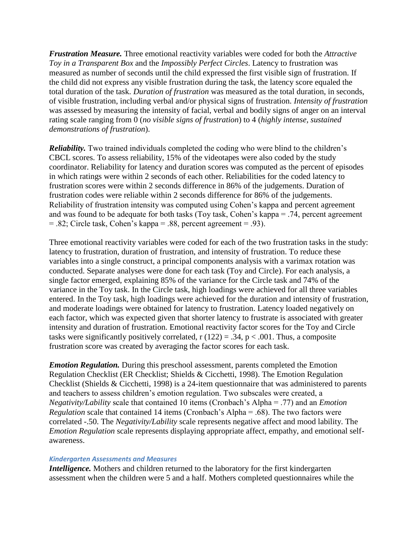*Frustration Measure.* Three emotional reactivity variables were coded for both the *Attractive Toy in a Transparent Box* and the *Impossibly Perfect Circles*. Latency to frustration was measured as number of seconds until the child expressed the first visible sign of frustration. If the child did not express any visible frustration during the task, the latency score equaled the total duration of the task. *Duration of frustration* was measured as the total duration, in seconds, of visible frustration, including verbal and/or physical signs of frustration. *Intensity of frustration* was assessed by measuring the intensity of facial, verbal and bodily signs of anger on an interval rating scale ranging from 0 (*no visible signs of frustration*) to 4 (*highly intense, sustained demonstrations of frustration*).

*Reliability*. Two trained individuals completed the coding who were blind to the children's CBCL scores. To assess reliability, 15% of the videotapes were also coded by the study coordinator. Reliability for latency and duration scores was computed as the percent of episodes in which ratings were within 2 seconds of each other. Reliabilities for the coded latency to frustration scores were within 2 seconds difference in 86% of the judgements. Duration of frustration codes were reliable within 2 seconds difference for 86% of the judgements. Reliability of frustration intensity was computed using Cohen's kappa and percent agreement and was found to be adequate for both tasks (Toy task, Cohen's kappa = .74, percent agreement = .82; Circle task, Cohen's kappa = .88, percent agreement = .93).

Three emotional reactivity variables were coded for each of the two frustration tasks in the study: latency to frustration, duration of frustration, and intensity of frustration. To reduce these variables into a single construct, a principal components analysis with a varimax rotation was conducted. Separate analyses were done for each task (Toy and Circle). For each analysis, a single factor emerged, explaining 85% of the variance for the Circle task and 74% of the variance in the Toy task. In the Circle task, high loadings were achieved for all three variables entered. In the Toy task, high loadings were achieved for the duration and intensity of frustration, and moderate loadings were obtained for latency to frustration. Latency loaded negatively on each factor, which was expected given that shorter latency to frustrate is associated with greater intensity and duration of frustration. Emotional reactivity factor scores for the Toy and Circle tasks were significantly positively correlated,  $r(122) = .34$ ,  $p < .001$ . Thus, a composite frustration score was created by averaging the factor scores for each task.

*Emotion Regulation.* During this preschool assessment, parents completed the Emotion Regulation Checklist (ER Checklist; Shields & Cicchetti, 1998). The Emotion Regulation Checklist (Shields & Cicchetti, 1998) is a 24-item questionnaire that was administered to parents and teachers to assess children's emotion regulation. Two subscales were created, a *Negativity/Lability* scale that contained 10 items (Cronbach's Alpha = .77) and an *Emotion Regulation* scale that contained 14 items (Cronbach's Alpha = .68). The two factors were correlated -.50. The *Negativity/Lability* scale represents negative affect and mood lability. The *Emotion Regulation* scale represents displaying appropriate affect, empathy, and emotional selfawareness.

#### *Kindergarten Assessments and Measures*

*Intelligence*. Mothers and children returned to the laboratory for the first kindergarten assessment when the children were 5 and a half. Mothers completed questionnaires while the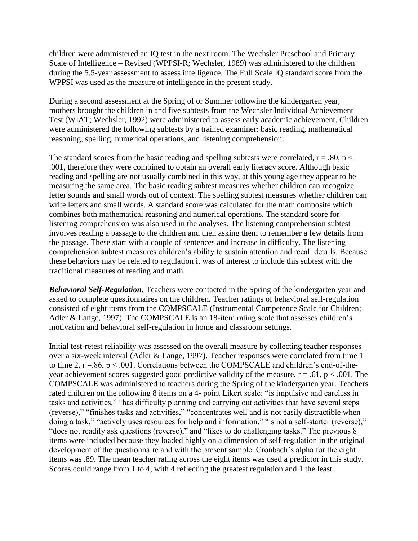children were administered an IQ test in the next room. The Wechsler Preschool and Primary Scale of Intelligence – Revised (WPPSI-R; Wechsler, 1989) was administered to the children during the 5.5-year assessment to assess intelligence. The Full Scale IQ standard score from the WPPSI was used as the measure of intelligence in the present study.

During a second assessment at the Spring of or Summer following the kindergarten year, mothers brought the children in and five subtests from the Wechsler Individual Achievement Test (WIAT; Wechsler, 1992) were administered to assess early academic achievement. Children were administered the following subtests by a trained examiner: basic reading, mathematical reasoning, spelling, numerical operations, and listening comprehension.

The standard scores from the basic reading and spelling subtests were correlated,  $r = .80$ ,  $p <$ .001, therefore they were combined to obtain an overall early literacy score. Although basic reading and spelling are not usually combined in this way, at this young age they appear to be measuring the same area. The basic reading subtest measures whether children can recognize letter sounds and small words out of context. The spelling subtest measures whether children can write letters and small words. A standard score was calculated for the math composite which combines both mathematical reasoning and numerical operations. The standard score for listening comprehension was also used in the analyses. The listening comprehension subtest involves reading a passage to the children and then asking them to remember a few details from the passage. These start with a couple of sentences and increase in difficulty. The listening comprehension subtest measures children's ability to sustain attention and recall details. Because these behaviors may be related to regulation it was of interest to include this subtest with the traditional measures of reading and math.

*Behavioral Self-Regulation.* Teachers were contacted in the Spring of the kindergarten year and asked to complete questionnaires on the children. Teacher ratings of behavioral self-regulation consisted of eight items from the COMPSCALE (Instrumental Competence Scale for Children; Adler & Lange, 1997). The COMPSCALE is an 18-item rating scale that assesses children's motivation and behavioral self-regulation in home and classroom settings.

Initial test-retest reliability was assessed on the overall measure by collecting teacher responses over a six-week interval (Adler & Lange, 1997). Teacher responses were correlated from time 1 to time 2,  $r = .86$ ,  $p < .001$ . Correlations between the COMPSCALE and children's end-of-theyear achievement scores suggested good predictive validity of the measure,  $r = .61$ ,  $p < .001$ . The COMPSCALE was administered to teachers during the Spring of the kindergarten year. Teachers rated children on the following 8 items on a 4- point Likert scale: "is impulsive and careless in tasks and activities," "has difficulty planning and carrying out activities that have several steps (reverse)," "finishes tasks and activities," "concentrates well and is not easily distractible when doing a task," "actively uses resources for help and information," "is not a self-starter (reverse)," "does not readily ask questions (reverse)," and "likes to do challenging tasks." The previous 8 items were included because they loaded highly on a dimension of self-regulation in the original development of the questionnaire and with the present sample. Cronbach's alpha for the eight items was .89. The mean teacher rating across the eight items was used a predictor in this study. Scores could range from 1 to 4, with 4 reflecting the greatest regulation and 1 the least.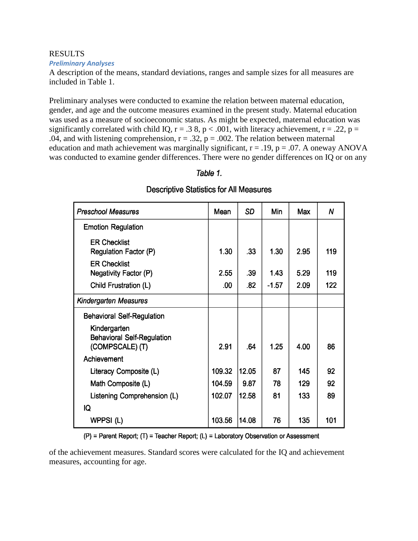# RESULTS

#### *Preliminary Analyses*

A description of the means, standard deviations, ranges and sample sizes for all measures are included in Table 1.

Preliminary analyses were conducted to examine the relation between maternal education, gender, and age and the outcome measures examined in the present study. Maternal education was used as a measure of socioeconomic status. As might be expected, maternal education was significantly correlated with child IQ,  $r = .3$  8,  $p < .001$ , with literacy achievement,  $r = .22$ ,  $p =$ .04, and with listening comprehension,  $r = .32$ ,  $p = .002$ . The relation between maternal education and math achievement was marginally significant,  $r = .19$ ,  $p = .07$ . A oneway ANOVA was conducted to examine gender differences. There were no gender differences on IQ or on any

| Table |
|-------|
|-------|

| <b>Preschool Measures</b>                                            | Mean   | <b>SD</b> | Min     | Max  | Ν   |
|----------------------------------------------------------------------|--------|-----------|---------|------|-----|
| <b>Emotion Regulation</b>                                            |        |           |         |      |     |
| <b>ER Checklist</b><br>Regulation Factor (P)                         | 1.30   | .33       | 1.30    | 2.95 | 119 |
| <b>ER Checklist</b><br><b>Negativity Factor (P)</b>                  | 2.55   | .39       | 1.43    | 5.29 | 119 |
| Child Frustration (L)                                                | .00    | .82       | $-1.57$ | 2.09 | 122 |
| <b>Kindergarten Measures</b>                                         |        |           |         |      |     |
| <b>Behavioral Self-Regulation</b>                                    |        |           |         |      |     |
| Kindergarten<br><b>Behavioral Self-Regulation</b><br>(COMPSCALE) (T) | 2.91   | .64       | 1.25    | 4.00 | 86  |
| Achievement                                                          |        |           |         |      |     |
| Literacy Composite (L)                                               | 109.32 | 12.05     | 87      | 145  | 92  |
| Math Composite (L)                                                   | 104.59 | 9.87      | 78      | 129  | 92  |
| Listening Comprehension (L)                                          | 102.07 | 12.58     | 81      | 133  | 89  |
| IQ                                                                   |        |           |         |      |     |
| WPPSI(L)                                                             | 103.56 | 14.08     | 76      | 135  | 101 |

# **Descriptive Statistics for All Measures**

(P) = Parent Report; (T) = Teacher Report; (L) = Laboratory Observation or Assessment

of the achievement measures. Standard scores were calculated for the IQ and achievement measures, accounting for age.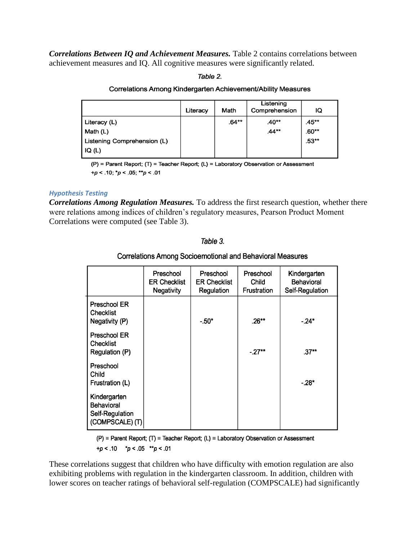*Correlations Between IQ and Achievement Measures.* Table 2 contains correlations between achievement measures and IQ. All cognitive measures were significantly related.

Table 2.

Correlations Among Kindergarten Achievement/Ability Measures

|                             | Literacy | Math  | Listening<br>Comprehension | IQ       |
|-----------------------------|----------|-------|----------------------------|----------|
| Literacy (L)                |          | .64** | .40**                      | .45**    |
| Math (L)                    |          |       | .44**                      | $.60**$  |
| Listening Comprehension (L) |          |       |                            | $.53***$ |
| IQ(L)                       |          |       |                            |          |

(P) = Parent Report; (T) = Teacher Report; (L) = Laboratory Observation or Assessment +p < .10;  $*p$  < .05;  $*p$  < .01

## *Hypothesis Testing*

*Correlations Among Regulation Measures.* To address the first research question, whether there were relations among indices of children's regulatory measures, Pearson Product Moment Correlations were computed (see Table 3).

# Table 3.

## **Correlations Among Socioemotional and Behavioral Measures**

|                                                                        | Preschool<br><b>ER Checklist</b><br><b>Negativity</b> | Preschool<br><b>ER Checklist</b><br>Regulation | Preschool<br>Child<br>Frustration | Kindergarten<br>Behavioral<br>Self-Regulation |
|------------------------------------------------------------------------|-------------------------------------------------------|------------------------------------------------|-----------------------------------|-----------------------------------------------|
| Preschool ER<br>Checklist<br>Negativity (P)                            |                                                       | $-.50*$                                        | $.26***$                          | $-24*$                                        |
| Preschool ER<br>Checklist<br>Regulation (P)                            |                                                       |                                                | $-27**$                           | $.37**$                                       |
| Preschool<br>Child<br>Frustration (L)                                  |                                                       |                                                |                                   | $-28*$                                        |
| Kindergarten<br><b>Behavioral</b><br>Self-Regulation<br>(COMPSCALE)(T) |                                                       |                                                |                                   |                                               |

(P) = Parent Report; (T) = Teacher Report; (L) = Laboratory Observation or Assessment  $+p < .10$   $np < .05$   $\rightarrow p < .01$ 

These correlations suggest that children who have difficulty with emotion regulation are also exhibiting problems with regulation in the kindergarten classroom. In addition, children with lower scores on teacher ratings of behavioral self-regulation (COMPSCALE) had significantly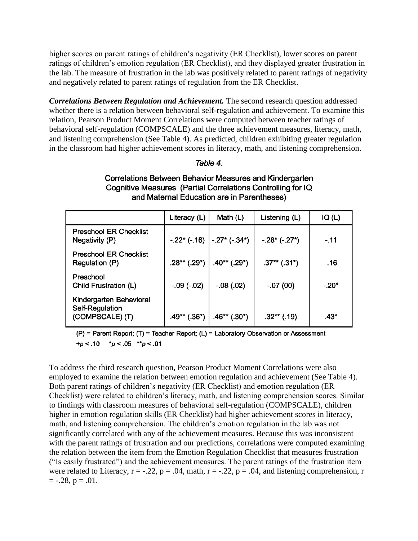higher scores on parent ratings of children's negativity (ER Checklist), lower scores on parent ratings of children's emotion regulation (ER Checklist), and they displayed greater frustration in the lab. The measure of frustration in the lab was positively related to parent ratings of negativity and negatively related to parent ratings of regulation from the ER Checklist.

*Correlations Between Regulation and Achievement.* The second research question addressed whether there is a relation between behavioral self-regulation and achievement. To examine this relation, Pearson Product Moment Correlations were computed between teacher ratings of behavioral self-regulation (COMPSCALE) and the three achievement measures, literacy, math, and listening comprehension (See Table 4). As predicted, children exhibiting greater regulation in the classroom had higher achievement scores in literacy, math, and listening comprehension.

# Table 4

|                                                               | Literacy (L)   | Math (L)                       | Listening (L)  | IQ(L)  |
|---------------------------------------------------------------|----------------|--------------------------------|----------------|--------|
| <b>Preschool ER Checklist</b><br>Negativity (P)               |                | $-22$ * (-.16)   -.27* (-.34*) | $-.28*(-.27*)$ | $-.11$ |
| <b>Preschool ER Checklist</b><br>Regulation (P)               | $.28**$ (.29*) | $.40**$ (.29*)                 | $.37**(.31*)$  | .16    |
| Preschool<br>Child Frustration (L)                            | $-.09(-.02)$   | $-.08(.02)$                    | $-07(00)$      | - 20*  |
| Kindergarten Behavioral<br>Self-Regulation<br>(COMPSCALE) (T) | .49** (.36*)   | $.46**$ (.30*)                 | $.32**$ (.19)  | $.43*$ |

# Correlations Between Behavior Measures and Kindergarten Cognitive Measures (Partial Correlations Controlling for IQ and Maternal Education are in Parentheses)

(P) = Parent Report; (T) = Teacher Report; (L) = Laboratory Observation or Assessment +p < .10  $^{\star}p$  < .05  $^{\star\star}p$  < .01

To address the third research question, Pearson Product Moment Correlations were also employed to examine the relation between emotion regulation and achievement (See Table 4). Both parent ratings of children's negativity (ER Checklist) and emotion regulation (ER Checklist) were related to children's literacy, math, and listening comprehension scores. Similar to findings with classroom measures of behavioral self-regulation (COMPSCALE), children higher in emotion regulation skills (ER Checklist) had higher achievement scores in literacy, math, and listening comprehension. The children's emotion regulation in the lab was not significantly correlated with any of the achievement measures. Because this was inconsistent with the parent ratings of frustration and our predictions, correlations were computed examining the relation between the item from the Emotion Regulation Checklist that measures frustration (―Is easily frustrated‖) and the achievement measures. The parent ratings of the frustration item were related to Literacy,  $r = -.22$ ,  $p = .04$ , math,  $r = -.22$ ,  $p = .04$ , and listening comprehension, r  $=-.28, p = .01.$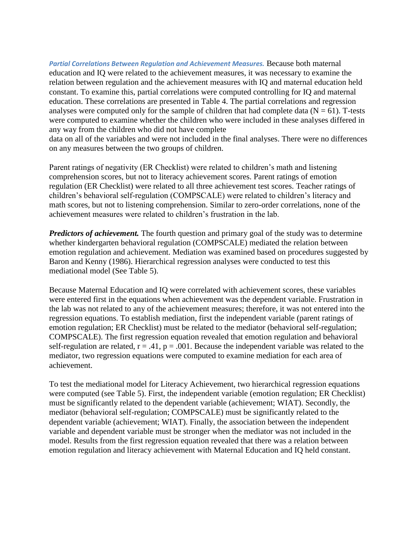*Partial Correlations Between Regulation and Achievement Measures.* Because both maternal education and IQ were related to the achievement measures, it was necessary to examine the relation between regulation and the achievement measures with IQ and maternal education held constant. To examine this, partial correlations were computed controlling for IQ and maternal education. These correlations are presented in Table 4. The partial correlations and regression analyses were computed only for the sample of children that had complete data ( $N = 61$ ). T-tests were computed to examine whether the children who were included in these analyses differed in any way from the children who did not have complete

data on all of the variables and were not included in the final analyses. There were no differences on any measures between the two groups of children.

Parent ratings of negativity (ER Checklist) were related to children's math and listening comprehension scores, but not to literacy achievement scores. Parent ratings of emotion regulation (ER Checklist) were related to all three achievement test scores. Teacher ratings of children's behavioral self-regulation (COMPSCALE) were related to children's literacy and math scores, but not to listening comprehension. Similar to zero-order correlations, none of the achievement measures were related to children's frustration in the lab.

*Predictors of achievement.* The fourth question and primary goal of the study was to determine whether kindergarten behavioral regulation (COMPSCALE) mediated the relation between emotion regulation and achievement. Mediation was examined based on procedures suggested by Baron and Kenny (1986). Hierarchical regression analyses were conducted to test this mediational model (See Table 5).

Because Maternal Education and IQ were correlated with achievement scores, these variables were entered first in the equations when achievement was the dependent variable. Frustration in the lab was not related to any of the achievement measures; therefore, it was not entered into the regression equations. To establish mediation, first the independent variable (parent ratings of emotion regulation; ER Checklist) must be related to the mediator (behavioral self-regulation; COMPSCALE). The first regression equation revealed that emotion regulation and behavioral self-regulation are related,  $r = .41$ ,  $p = .001$ . Because the independent variable was related to the mediator, two regression equations were computed to examine mediation for each area of achievement.

To test the mediational model for Literacy Achievement, two hierarchical regression equations were computed (see Table 5). First, the independent variable (emotion regulation; ER Checklist) must be significantly related to the dependent variable (achievement; WIAT). Secondly, the mediator (behavioral self-regulation; COMPSCALE) must be significantly related to the dependent variable (achievement; WIAT). Finally, the association between the independent variable and dependent variable must be stronger when the mediator was not included in the model. Results from the first regression equation revealed that there was a relation between emotion regulation and literacy achievement with Maternal Education and IQ held constant.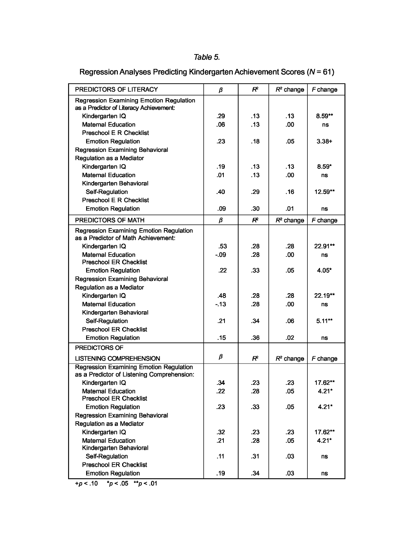# Table 5.

| PREDICTORS OF LITERACY                                                                       | $\beta$ | $R^2$ | $R^2$ change | $F$ change |
|----------------------------------------------------------------------------------------------|---------|-------|--------------|------------|
| Regression Examining Emotion Regulation                                                      |         |       |              |            |
| as a Predictor of Literacy Achievement:                                                      |         |       |              |            |
| Kindergarten IQ                                                                              | .29     | .13   | .13          | $8.59**$   |
| <b>Maternal Education</b>                                                                    | .06     | .13   | .00          | ns         |
| Preschool E R Checklist                                                                      |         |       |              |            |
| <b>Emotion Regulation</b>                                                                    | .23     | .18   | .05          | $3.38 +$   |
| <b>Regression Examining Behavioral</b>                                                       |         |       |              |            |
| Regulation as a Mediator                                                                     |         |       |              |            |
| Kindergarten IQ                                                                              | .19     | .13   | .13          | $8.59*$    |
| <b>Maternal Education</b>                                                                    | .01     | .13   | .00          | ns         |
| Kindergarten Behavioral                                                                      |         |       |              |            |
| Self-Regulation                                                                              | .40     | .29   | .16          | 12.59**    |
| Preschool E R Checklist                                                                      |         |       |              |            |
| <b>Emotion Regulation</b>                                                                    | .09     | .30   | .01          | ns         |
| PREDICTORS OF MATH                                                                           | β       | $R^2$ | $R^2$ change | $F$ change |
| <b>Regression Examining Emotion Regulation</b><br>as a Predictor of Math Achievement:        |         |       |              |            |
| Kindergarten IQ                                                                              | .53     | .28   | .28          | 22.91**    |
| <b>Maternal Education</b>                                                                    | $-09$   | .28   | .00          | ns         |
| <b>Preschool ER Checklist</b>                                                                |         |       |              |            |
| <b>Emotion Regulation</b>                                                                    | .22     | .33   | .05          | 4.05*      |
| <b>Regression Examining Behavioral</b>                                                       |         |       |              |            |
| Regulation as a Mediator                                                                     |         |       |              |            |
| Kindergarten IQ                                                                              | .48     | .28   | .28          | 22.19**    |
| <b>Maternal Education</b>                                                                    | $-13$   | .28   | .00          | ns         |
| Kindergarten Behavioral                                                                      |         |       |              |            |
| Self-Regulation                                                                              | .21     | .34   | .06          | $5.11**$   |
| <b>Preschool ER Checklist</b>                                                                |         |       |              |            |
| <b>Emotion Regulation</b>                                                                    | .15     | .36   | .02          | ns         |
| PREDICTORS OF                                                                                |         |       |              |            |
| <b>LISTENING COMPREHENSION</b>                                                               | β       | $R^2$ | $R^2$ change | $F$ change |
| <b>Regression Examining Emotion Regulation</b><br>as a Predictor of Listening Comprehension: |         |       |              |            |
| Kindergarten IQ                                                                              | .34     | .23   | .23          | 17.62**    |
| <b>Maternal Education</b>                                                                    | .22     | .28   | .05          | $4.21*$    |
| <b>Preschool ER Checklist</b>                                                                |         |       |              |            |
| <b>Emotion Regulation</b>                                                                    | .23     | .33   | .05          | $4.21*$    |
| <b>Regression Examining Behavioral</b>                                                       |         |       |              |            |
| Regulation as a Mediator                                                                     |         |       |              |            |
| Kindergarten IQ                                                                              | .32     | .23   | .23          | 17.62**    |
| <b>Maternal Education</b>                                                                    | .21     | .28   | .05          | 4.21*      |
| Kindergarten Behavioral                                                                      |         |       |              |            |
| Self-Regulation                                                                              | .11     | .31   | .03          | ns         |
| <b>Preschool ER Checklist</b>                                                                |         |       |              |            |
| <b>Emotion Regulation</b>                                                                    | .19     | .34   | .03          | ns         |

Regression Analyses Predicting Kindergarten Achievement Scores ( $N = 61$ )

 $+p < .10$   $p < .05$   $\sqrt{np} < .01$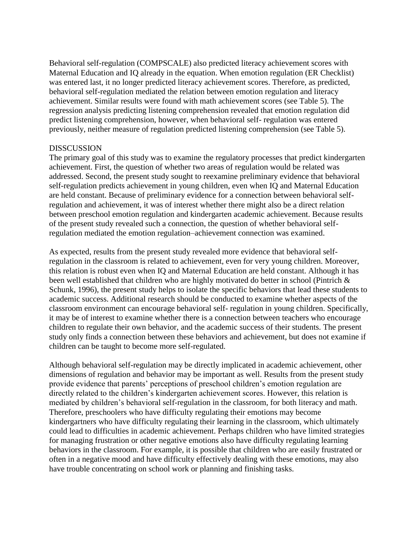Behavioral self-regulation (COMPSCALE) also predicted literacy achievement scores with Maternal Education and IQ already in the equation. When emotion regulation (ER Checklist) was entered last, it no longer predicted literacy achievement scores. Therefore, as predicted, behavioral self-regulation mediated the relation between emotion regulation and literacy achievement. Similar results were found with math achievement scores (see Table 5). The regression analysis predicting listening comprehension revealed that emotion regulation did predict listening comprehension, however, when behavioral self- regulation was entered previously, neither measure of regulation predicted listening comprehension (see Table 5).

## **DISSCUSSION**

The primary goal of this study was to examine the regulatory processes that predict kindergarten achievement. First, the question of whether two areas of regulation would be related was addressed. Second, the present study sought to reexamine preliminary evidence that behavioral self-regulation predicts achievement in young children, even when IQ and Maternal Education are held constant. Because of preliminary evidence for a connection between behavioral selfregulation and achievement, it was of interest whether there might also be a direct relation between preschool emotion regulation and kindergarten academic achievement. Because results of the present study revealed such a connection, the question of whether behavioral selfregulation mediated the emotion regulation–achievement connection was examined.

As expected, results from the present study revealed more evidence that behavioral selfregulation in the classroom is related to achievement, even for very young children. Moreover, this relation is robust even when IQ and Maternal Education are held constant. Although it has been well established that children who are highly motivated do better in school (Pintrich & Schunk, 1996), the present study helps to isolate the specific behaviors that lead these students to academic success. Additional research should be conducted to examine whether aspects of the classroom environment can encourage behavioral self- regulation in young children. Specifically, it may be of interest to examine whether there is a connection between teachers who encourage children to regulate their own behavior, and the academic success of their students. The present study only finds a connection between these behaviors and achievement, but does not examine if children can be taught to become more self-regulated.

Although behavioral self-regulation may be directly implicated in academic achievement, other dimensions of regulation and behavior may be important as well. Results from the present study provide evidence that parents' perceptions of preschool children's emotion regulation are directly related to the children's kindergarten achievement scores. However, this relation is mediated by children's behavioral self-regulation in the classroom, for both literacy and math. Therefore, preschoolers who have difficulty regulating their emotions may become kindergartners who have difficulty regulating their learning in the classroom, which ultimately could lead to difficulties in academic achievement. Perhaps children who have limited strategies for managing frustration or other negative emotions also have difficulty regulating learning behaviors in the classroom. For example, it is possible that children who are easily frustrated or often in a negative mood and have difficulty effectively dealing with these emotions, may also have trouble concentrating on school work or planning and finishing tasks.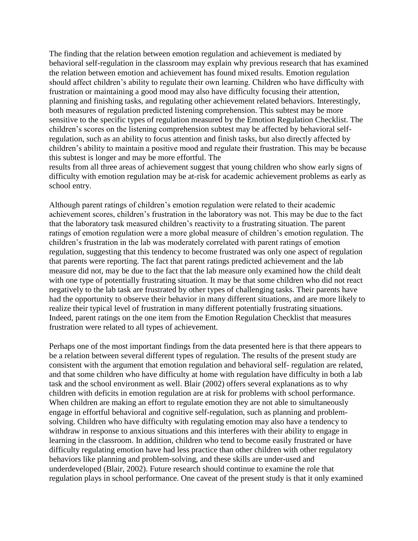The finding that the relation between emotion regulation and achievement is mediated by behavioral self-regulation in the classroom may explain why previous research that has examined the relation between emotion and achievement has found mixed results. Emotion regulation should affect children's ability to regulate their own learning. Children who have difficulty with frustration or maintaining a good mood may also have difficulty focusing their attention, planning and finishing tasks, and regulating other achievement related behaviors. Interestingly, both measures of regulation predicted listening comprehension. This subtest may be more sensitive to the specific types of regulation measured by the Emotion Regulation Checklist. The children's scores on the listening comprehension subtest may be affected by behavioral selfregulation, such as an ability to focus attention and finish tasks, but also directly affected by children's ability to maintain a positive mood and regulate their frustration. This may be because this subtest is longer and may be more effortful. The

results from all three areas of achievement suggest that young children who show early signs of difficulty with emotion regulation may be at-risk for academic achievement problems as early as school entry.

Although parent ratings of children's emotion regulation were related to their academic achievement scores, children's frustration in the laboratory was not. This may be due to the fact that the laboratory task measured children's reactivity to a frustrating situation. The parent ratings of emotion regulation were a more global measure of children's emotion regulation. The children's frustration in the lab was moderately correlated with parent ratings of emotion regulation, suggesting that this tendency to become frustrated was only one aspect of regulation that parents were reporting. The fact that parent ratings predicted achievement and the lab measure did not, may be due to the fact that the lab measure only examined how the child dealt with one type of potentially frustrating situation. It may be that some children who did not react negatively to the lab task are frustrated by other types of challenging tasks. Their parents have had the opportunity to observe their behavior in many different situations, and are more likely to realize their typical level of frustration in many different potentially frustrating situations. Indeed, parent ratings on the one item from the Emotion Regulation Checklist that measures frustration were related to all types of achievement.

Perhaps one of the most important findings from the data presented here is that there appears to be a relation between several different types of regulation. The results of the present study are consistent with the argument that emotion regulation and behavioral self- regulation are related, and that some children who have difficulty at home with regulation have difficulty in both a lab task and the school environment as well. Blair (2002) offers several explanations as to why children with deficits in emotion regulation are at risk for problems with school performance. When children are making an effort to regulate emotion they are not able to simultaneously engage in effortful behavioral and cognitive self-regulation, such as planning and problemsolving. Children who have difficulty with regulating emotion may also have a tendency to withdraw in response to anxious situations and this interferes with their ability to engage in learning in the classroom. In addition, children who tend to become easily frustrated or have difficulty regulating emotion have had less practice than other children with other regulatory behaviors like planning and problem-solving, and these skills are under-used and underdeveloped (Blair, 2002). Future research should continue to examine the role that regulation plays in school performance. One caveat of the present study is that it only examined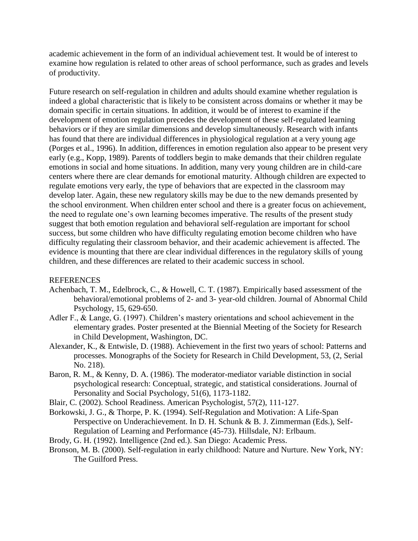academic achievement in the form of an individual achievement test. It would be of interest to examine how regulation is related to other areas of school performance, such as grades and levels of productivity.

Future research on self-regulation in children and adults should examine whether regulation is indeed a global characteristic that is likely to be consistent across domains or whether it may be domain specific in certain situations. In addition, it would be of interest to examine if the development of emotion regulation precedes the development of these self-regulated learning behaviors or if they are similar dimensions and develop simultaneously. Research with infants has found that there are individual differences in physiological regulation at a very young age (Porges et al., 1996). In addition, differences in emotion regulation also appear to be present very early (e.g., Kopp, 1989). Parents of toddlers begin to make demands that their children regulate emotions in social and home situations. In addition, many very young children are in child-care centers where there are clear demands for emotional maturity. Although children are expected to regulate emotions very early, the type of behaviors that are expected in the classroom may develop later. Again, these new regulatory skills may be due to the new demands presented by the school environment. When children enter school and there is a greater focus on achievement, the need to regulate one's own learning becomes imperative. The results of the present study suggest that both emotion regulation and behavioral self-regulation are important for school success, but some children who have difficulty regulating emotion become children who have difficulty regulating their classroom behavior, and their academic achievement is affected. The evidence is mounting that there are clear individual differences in the regulatory skills of young children, and these differences are related to their academic success in school.

# REFERENCES

- Achenbach, T. M., Edelbrock, C., & Howell, C. T. (1987). Empirically based assessment of the behavioral/emotional problems of 2- and 3- year-old children. Journal of Abnormal Child Psychology, 15, 629-650.
- Adler F., & Lange, G. (1997). Children's mastery orientations and school achievement in the elementary grades. Poster presented at the Biennial Meeting of the Society for Research in Child Development, Washington, DC.
- Alexander, K., & Entwisle, D. (1988). Achievement in the first two years of school: Patterns and processes. Monographs of the Society for Research in Child Development, 53, (2, Serial No. 218).
- Baron, R. M., & Kenny, D. A. (1986). The moderator-mediator variable distinction in social psychological research: Conceptual, strategic, and statistical considerations. Journal of Personality and Social Psychology, 51(6), 1173-1182.
- Blair, C. (2002). School Readiness. American Psychologist, 57(2), 111-127.
- Borkowski, J. G., & Thorpe, P. K. (1994). Self-Regulation and Motivation: A Life-Span Perspective on Underachievement. In D. H. Schunk & B. J. Zimmerman (Eds.), Self-Regulation of Learning and Performance (45-73). Hillsdale, NJ: Erlbaum.
- Brody, G. H. (1992). Intelligence (2nd ed.). San Diego: Academic Press.
- Bronson, M. B. (2000). Self-regulation in early childhood: Nature and Nurture. New York, NY: The Guilford Press.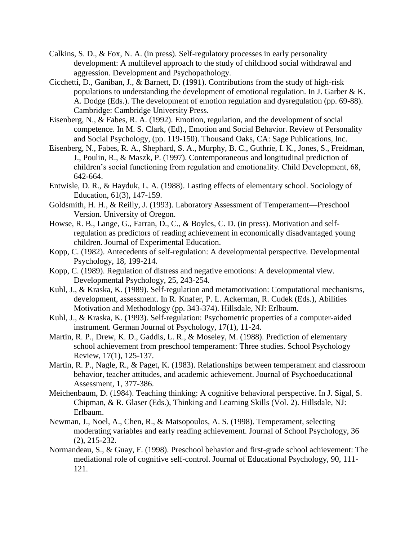- Calkins, S. D., & Fox, N. A. (in press). Self-regulatory processes in early personality development: A multilevel approach to the study of childhood social withdrawal and aggression. Development and Psychopathology.
- Cicchetti, D., Ganiban, J., & Barnett, D. (1991). Contributions from the study of high-risk populations to understanding the development of emotional regulation. In J. Garber  $\& K$ . A. Dodge (Eds.). The development of emotion regulation and dysregulation (pp. 69-88). Cambridge: Cambridge University Press.
- Eisenberg, N., & Fabes, R. A. (1992). Emotion, regulation, and the development of social competence. In M. S. Clark, (Ed)., Emotion and Social Behavior. Review of Personality and Social Psychology, (pp. 119-150). Thousand Oaks, CA: Sage Publications, Inc.
- Eisenberg, N., Fabes, R. A., Shephard, S. A., Murphy, B. C., Guthrie, I. K., Jones, S., Freidman, J., Poulin, R., & Maszk, P. (1997). Contemporaneous and longitudinal prediction of children's social functioning from regulation and emotionality. Child Development, 68, 642-664.
- Entwisle, D. R., & Hayduk, L. A. (1988). Lasting effects of elementary school. Sociology of Education, 61(3), 147-159.
- Goldsmith, H. H., & Reilly, J. (1993). Laboratory Assessment of Temperament—Preschool Version. University of Oregon.
- Howse, R. B., Lange, G., Farran, D., C., & Boyles, C. D. (in press). Motivation and selfregulation as predictors of reading achievement in economically disadvantaged young children. Journal of Experimental Education.
- Kopp, C. (1982). Antecedents of self-regulation: A developmental perspective. Developmental Psychology, 18, 199-214.
- Kopp, C. (1989). Regulation of distress and negative emotions: A developmental view. Developmental Psychology, 25, 243-254.
- Kuhl, J., & Kraska, K. (1989). Self-regulation and metamotivation: Computational mechanisms, development, assessment. In R. Knafer, P. L. Ackerman, R. Cudek (Eds.), Abilities Motivation and Methodology (pp. 343-374). Hillsdale, NJ: Erlbaum.
- Kuhl, J., & Kraska, K. (1993). Self-regulation: Psychometric properties of a computer-aided instrument. German Journal of Psychology, 17(1), 11-24.
- Martin, R. P., Drew, K. D., Gaddis, L. R., & Moseley, M. (1988). Prediction of elementary school achievement from preschool temperament: Three studies. School Psychology Review, 17(1), 125-137.
- Martin, R. P., Nagle, R., & Paget, K. (1983). Relationships between temperament and classroom behavior, teacher attitudes, and academic achievement. Journal of Psychoeducational Assessment, 1, 377-386.
- Meichenbaum, D. (1984). Teaching thinking: A cognitive behavioral perspective. In J. Sigal, S. Chipman, & R. Glaser (Eds.), Thinking and Learning Skills (Vol. 2). Hillsdale, NJ: Erlbaum.
- Newman, J., Noel, A., Chen, R., & Matsopoulos, A. S. (1998). Temperament, selecting moderating variables and early reading achievement. Journal of School Psychology, 36 (2), 215-232.
- Normandeau, S., & Guay, F. (1998). Preschool behavior and first-grade school achievement: The mediational role of cognitive self-control. Journal of Educational Psychology, 90, 111- 121.